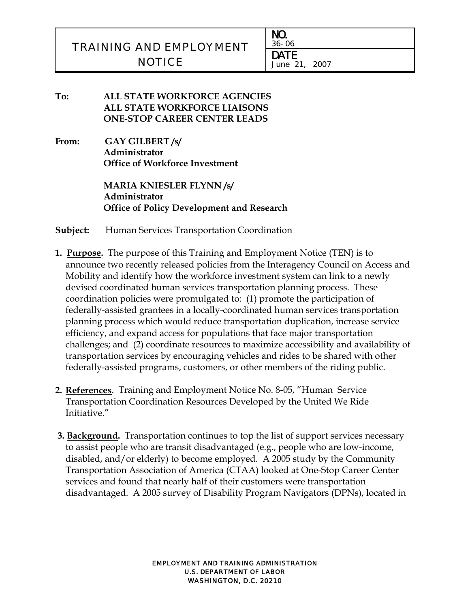# TRAINING AND EMPLOYMENT **NOTICE** DATE

i<br>L

NO. 36-06 June 21, 2007

**To: ALL STATE WORKFORCE AGENCIES ALL STATE WORKFORCE LIAISONS ONE-STOP CAREER CENTER LEADS**

**From: GAY GILBERT /s/ Administrator Office of Workforce Investment** 

> **MARIA KNIESLER FLYNN /s/ Administrator Office of Policy Development and Research**

**Subject:** Human Services Transportation Coordination

- **1. Purpose.** The purpose of this Training and Employment Notice (TEN) is to announce two recently released policies from the Interagency Council on Access and Mobility and identify how the workforce investment system can link to a newly devised coordinated human services transportation planning process. These coordination policies were promulgated to: (1) promote the participation of federally-assisted grantees in a locally-coordinated human services transportation planning process which would reduce transportation duplication, increase service efficiency, and expand access for populations that face major transportation challenges; and (2) coordinate resources to maximize accessibility and availability of transportation services by encouraging vehicles and rides to be shared with other federally-assisted programs, customers, or other members of the riding public.
- **2. References**. Training and Employment Notice No. 8-05, "Human Service Transportation Coordination Resources Developed by the United We Ride Initiative."
- **3. Background.** Transportation continues to top the list of support services necessary to assist people who are transit disadvantaged (e.g., people who are low-income, disabled, and/or elderly) to become employed. A 2005 study by the Community Transportation Association of America (CTAA) looked at One-Stop Career Center services and found that nearly half of their customers were transportation disadvantaged. A 2005 survey of Disability Program Navigators (DPNs), located in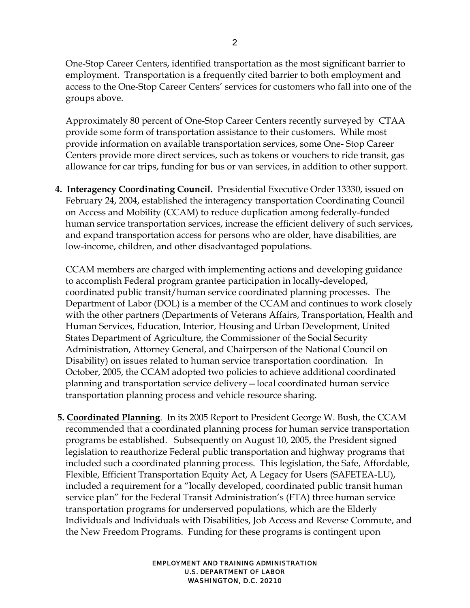One-Stop Career Centers, identified transportation as the most significant barrier to employment. Transportation is a frequently cited barrier to both employment and access to the One-Stop Career Centers' services for customers who fall into one of the groups above.

Approximately 80 percent of One-Stop Career Centers recently surveyed by CTAA provide some form of transportation assistance to their customers. While most provide information on available transportation services, some One- Stop Career Centers provide more direct services, such as tokens or vouchers to ride transit, gas allowance for car trips, funding for bus or van services, in addition to other support.

**4. Interagency Coordinating Council.** Presidential Executive Order 13330, issued on February 24, 2004, established the interagency transportation Coordinating Council on Access and Mobility (CCAM) to reduce duplication among federally-funded human service transportation services, increase the efficient delivery of such services, and expand transportation access for persons who are older, have disabilities, are low-income, children, and other disadvantaged populations.

CCAM members are charged with implementing actions and developing guidance to accomplish Federal program grantee participation in locally-developed, coordinated public transit/human service coordinated planning processes. The Department of Labor (DOL) is a member of the CCAM and continues to work closely with the other partners (Departments of Veterans Affairs, Transportation, Health and Human Services, Education, Interior, Housing and Urban Development, United States Department of Agriculture, the Commissioner of the Social Security Administration, Attorney General, and Chairperson of the National Council on Disability) on issues related to human service transportation coordination. In October, 2005, the CCAM adopted two policies to achieve additional coordinated planning and transportation service delivery—local coordinated human service transportation planning process and vehicle resource sharing.

 **5. Coordinated Planning**. In its 2005 Report to President George W. Bush, the CCAM recommended that a coordinated planning process for human service transportation programs be established. Subsequently on August 10, 2005, the President signed legislation to reauthorize Federal public transportation and highway programs that included such a coordinated planning process. This legislation, the Safe, Affordable, Flexible, Efficient Transportation Equity Act, A Legacy for Users (SAFETEA-LU), included a requirement for a "locally developed, coordinated public transit human service plan" for the Federal Transit Administration's (FTA) three human service transportation programs for underserved populations, which are the Elderly Individuals and Individuals with Disabilities, Job Access and Reverse Commute, and the New Freedom Programs. Funding for these programs is contingent upon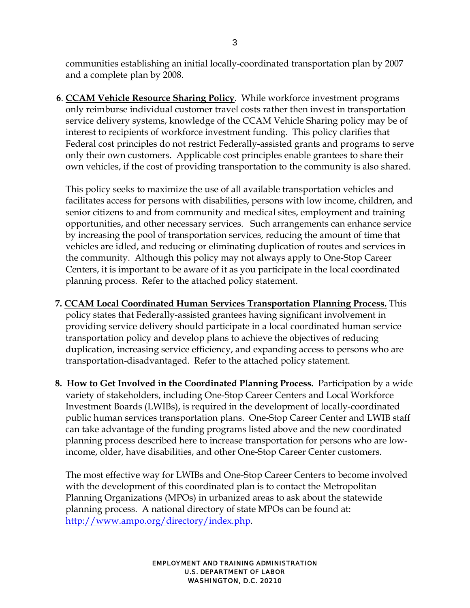communities establishing an initial locally-coordinated transportation plan by 2007 and a complete plan by 2008.

 **6**. **CCAM Vehicle Resource Sharing Policy**. While workforce investment programs only reimburse individual customer travel costs rather then invest in transportation service delivery systems, knowledge of the CCAM Vehicle Sharing policy may be of interest to recipients of workforce investment funding. This policy clarifies that Federal cost principles do not restrict Federally-assisted grants and programs to serve only their own customers. Applicable cost principles enable grantees to share their own vehicles, if the cost of providing transportation to the community is also shared.

 This policy seeks to maximize the use of all available transportation vehicles and facilitates access for persons with disabilities, persons with low income, children, and senior citizens to and from community and medical sites, employment and training opportunities, and other necessary services. Such arrangements can enhance service by increasing the pool of transportation services, reducing the amount of time that vehicles are idled, and reducing or eliminating duplication of routes and services in the community. Although this policy may not always apply to One-Stop Career Centers, it is important to be aware of it as you participate in the local coordinated planning process. Refer to the attached policy statement.

- **7. CCAM Local Coordinated Human Services Transportation Planning Process.** This policy states that Federally-assisted grantees having significant involvement in providing service delivery should participate in a local coordinated human service transportation policy and develop plans to achieve the objectives of reducing duplication, increasing service efficiency, and expanding access to persons who are transportation-disadvantaged. Refer to the attached policy statement.
- **8. How to Get Involved in the Coordinated Planning Process.** Participation by a wide variety of stakeholders, including One-Stop Career Centers and Local Workforce Investment Boards (LWIBs), is required in the development of locally-coordinated public human services transportation plans. One-Stop Career Center and LWIB staff can take advantage of the funding programs listed above and the new coordinated planning process described here to increase transportation for persons who are lowincome, older, have disabilities, and other One-Stop Career Center customers.

The most effective way for LWIBs and One-Stop Career Centers to become involved with the development of this coordinated plan is to contact the Metropolitan Planning Organizations (MPOs) in urbanized areas to ask about the statewide planning process. A national directory of state MPOs can be found at: http://www.ampo.org/directory/index.php.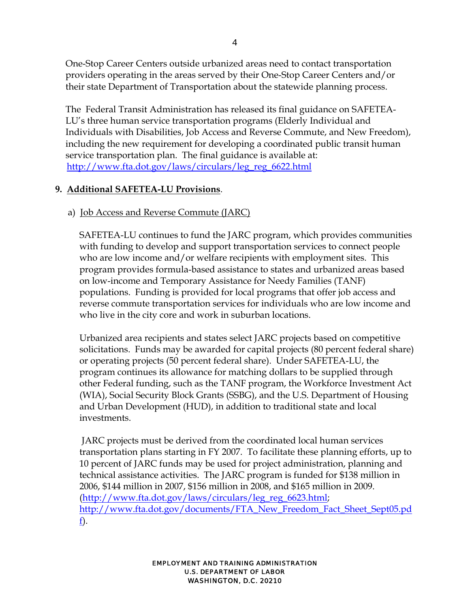One-Stop Career Centers outside urbanized areas need to contact transportation providers operating in the areas served by their One-Stop Career Centers and/or their state Department of Transportation about the statewide planning process.

The Federal Transit Administration has released its final guidance on SAFETEA-LU's three human service transportation programs (Elderly Individual and Individuals with Disabilities, Job Access and Reverse Commute, and New Freedom), including the new requirement for developing a coordinated public transit human service transportation plan. The final guidance is available at: http://www.fta.dot.gov/laws/circulars/leg\_reg\_6622.html

### **9. Additional SAFETEA-LU Provisions**.

### a) Job Access and Reverse Commute (JARC)

SAFETEA-LU continues to fund the JARC program, which provides communities with funding to develop and support transportation services to connect people who are low income and/or welfare recipients with employment sites. This program provides formula-based assistance to states and urbanized areas based on low-income and Temporary Assistance for Needy Families (TANF) populations. Funding is provided for local programs that offer job access and reverse commute transportation services for individuals who are low income and who live in the city core and work in suburban locations.

Urbanized area recipients and states select JARC projects based on competitive solicitations. Funds may be awarded for capital projects (80 percent federal share) or operating projects (50 percent federal share). Under SAFETEA-LU, the program continues its allowance for matching dollars to be supplied through other Federal funding, such as the TANF program, the Workforce Investment Act (WIA), Social Security Block Grants (SSBG), and the U.S. Department of Housing and Urban Development (HUD), in addition to traditional state and local investments.

 JARC projects must be derived from the coordinated local human services transportation plans starting in FY 2007. To facilitate these planning efforts, up to 10 percent of JARC funds may be used for project administration, planning and technical assistance activities. The JARC program is funded for \$138 million in 2006, \$144 million in 2007, \$156 million in 2008, and \$165 million in 2009. (http://www.fta.dot.gov/laws/circulars/leg\_reg\_6623.html; http://www.fta.dot.gov/documents/FTA\_New\_Freedom\_Fact\_Sheet\_Sept05.pd f).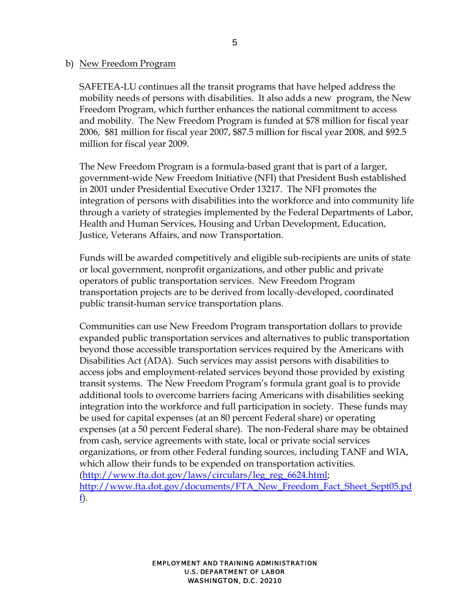#### b) New Freedom Program

SAFETEA-LU continues all the transit programs that have helped address the mobility needs of persons with disabilities. It also adds a new program, the New Freedom Program, which further enhances the national commitment to access and mobility. The New Freedom Program is funded at \$78 million for fiscal year 2006, \$81 million for fiscal year 2007, \$87.5 million for fiscal year 2008, and \$92.5 million for fiscal year 2009.

The New Freedom Program is a formula-based grant that is part of a larger, government-wide New Freedom Initiative (NFI) that President Bush established in 2001 under Presidential Executive Order 13217. The NFI promotes the integration of persons with disabilities into the workforce and into community life through a variety of strategies implemented by the Federal Departments of Labor, Health and Human Services, Housing and Urban Development, Education, Justice, Veterans Affairs, and now Transportation.

Funds will be awarded competitively and eligible sub-recipients are units of state or local government, nonprofit organizations, and other public and private operators of public transportation services. New Freedom Program transportation projects are to be derived from locally-developed, coordinated public transit-human service transportation plans.

Communities can use New Freedom Program transportation dollars to provide expanded public transportation services and alternatives to public transportation beyond those accessible transportation services required by the Americans with Disabilities Act (ADA). Such services may assist persons with disabilities to access jobs and employment-related services beyond those provided by existing transit systems. The New Freedom Program's formula grant goal is to provide additional tools to overcome barriers facing Americans with disabilities seeking integration into the workforce and full participation in society. These funds may be used for capital expenses (at an 80 percent Federal share) or operating expenses (at a 50 percent Federal share). The non-Federal share may be obtained from cash, service agreements with state, local or private social services organizations, or from other Federal funding sources, including TANF and WIA, which allow their funds to be expended on transportation activities. (http://www.fta.dot.gov/laws/circulars/leg\_reg\_6624.html; http://www.fta.dot.gov/documents/FTA\_New\_Freedom\_Fact\_Sheet\_Sept05.pd f).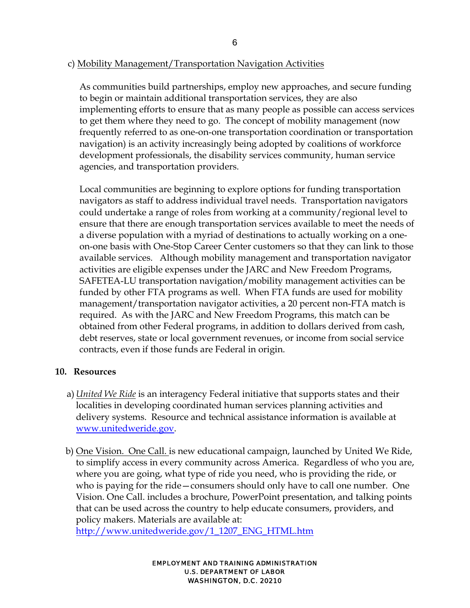### c) Mobility Management/Transportation Navigation Activities

As communities build partnerships, employ new approaches, and secure funding to begin or maintain additional transportation services, they are also implementing efforts to ensure that as many people as possible can access services to get them where they need to go. The concept of mobility management (now frequently referred to as one-on-one transportation coordination or transportation navigation) is an activity increasingly being adopted by coalitions of workforce development professionals, the disability services community, human service agencies, and transportation providers.

Local communities are beginning to explore options for funding transportation navigators as staff to address individual travel needs. Transportation navigators could undertake a range of roles from working at a community/regional level to ensure that there are enough transportation services available to meet the needs of a diverse population with a myriad of destinations to actually working on a oneon-one basis with One-Stop Career Center customers so that they can link to those available services. Although mobility management and transportation navigator activities are eligible expenses under the JARC and New Freedom Programs, SAFETEA-LU transportation navigation/mobility management activities can be funded by other FTA programs as well. When FTA funds are used for mobility management/transportation navigator activities, a 20 percent non-FTA match is required. As with the JARC and New Freedom Programs, this match can be obtained from other Federal programs, in addition to dollars derived from cash, debt reserves, state or local government revenues, or income from social service contracts, even if those funds are Federal in origin.

#### **10. Resources**

- a) *United We Ride* is an interagency Federal initiative that supports states and their localities in developing coordinated human services planning activities and delivery systems. Resource and technical assistance information is available at www.unitedweride.gov.
- b) One Vision. One Call. is new educational campaign, launched by United We Ride, to simplify access in every community across America. Regardless of who you are, where you are going, what type of ride you need, who is providing the ride, or who is paying for the ride—consumers should only have to call one number. One Vision. One Call. includes a brochure, PowerPoint presentation, and talking points that can be used across the country to help educate consumers, providers, and policy makers. Materials are available at:

http://www.unitedweride.gov/1\_1207\_ENG\_HTML.htm